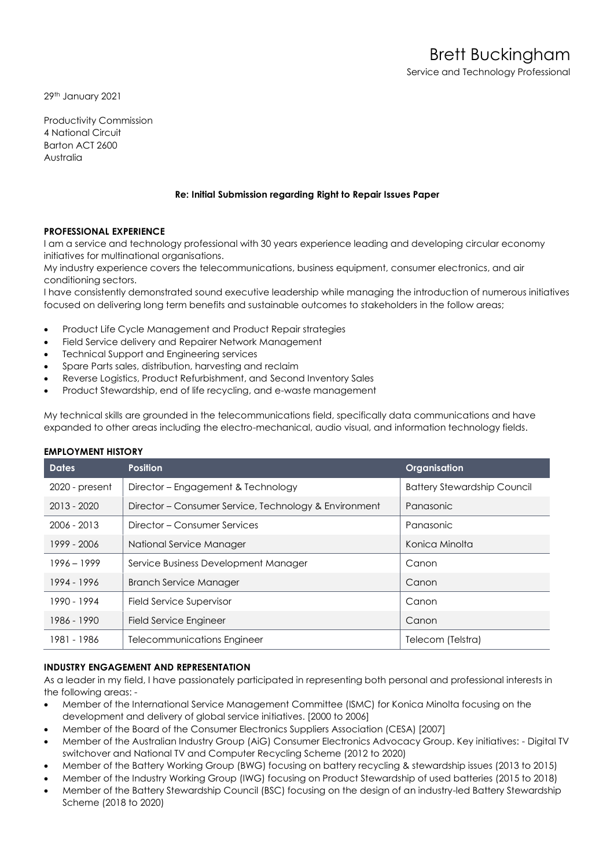29th January 2021

Productivity Commission 4 National Circuit Barton ACT 2600 Australia

# **Re: Initial Submission regarding Right to Repair Issues Paper**

# **PROFESSIONAL EXPERIENCE**

I am a service and technology professional with 30 years experience leading and developing circular economy initiatives for multinational organisations.

My industry experience covers the telecommunications, business equipment, consumer electronics, and air conditioning sectors.

I have consistently demonstrated sound executive leadership while managing the introduction of numerous initiatives focused on delivering long term benefits and sustainable outcomes to stakeholders in the follow areas;

- Product Life Cycle Management and Product Repair strategies
- Field Service delivery and Repairer Network Management
- Technical Support and Engineering services
- Spare Parts sales, distribution, harvesting and reclaim
- Reverse Logistics, Product Refurbishment, and Second Inventory Sales
- Product Stewardship, end of life recycling, and e-waste management

My technical skills are grounded in the telecommunications field, specifically data communications and have expanded to other areas including the electro-mechanical, audio visual, and information technology fields.

| <b>Dates</b>   | <b>Position</b>                                       | Organisation                       |
|----------------|-------------------------------------------------------|------------------------------------|
| 2020 - present | Director - Engagement & Technology                    | <b>Battery Stewardship Council</b> |
| 2013 - 2020    | Director – Consumer Service, Technology & Environment | Panasonic                          |
| $2006 - 2013$  | Director - Consumer Services                          | Panasonic                          |
| 1999 - 2006    | National Service Manager                              | Konica Minolta                     |
| $1996 - 1999$  | Service Business Development Manager                  | Canon                              |
| 1994 - 1996    | <b>Branch Service Manager</b>                         | Canon                              |
| 1990 - 1994    | Field Service Supervisor                              | Canon                              |
| 1986 - 1990    | Field Service Engineer                                | Canon                              |
| 1981 - 1986    | Telecommunications Engineer                           | Telecom (Telstra)                  |

# **EMPLOYMENT HISTORY**

# **INDUSTRY ENGAGEMENT AND REPRESENTATION**

As a leader in my field, I have passionately participated in representing both personal and professional interests in the following areas: -

- Member of the International Service Management Committee (ISMC) for Konica Minolta focusing on the development and delivery of global service initiatives. [2000 to 2006]
- Member of the Board of the Consumer Electronics Suppliers Association (CESA) [2007]
- Member of the Australian Industry Group (AiG) Consumer Electronics Advocacy Group. Key initiatives: Digital TV switchover and National TV and Computer Recycling Scheme (2012 to 2020)
- Member of the Battery Working Group (BWG) focusing on battery recycling & stewardship issues (2013 to 2015)
- Member of the Industry Working Group (IWG) focusing on Product Stewardship of used batteries (2015 to 2018)
- Member of the Battery Stewardship Council (BSC) focusing on the design of an industry-led Battery Stewardship Scheme (2018 to 2020)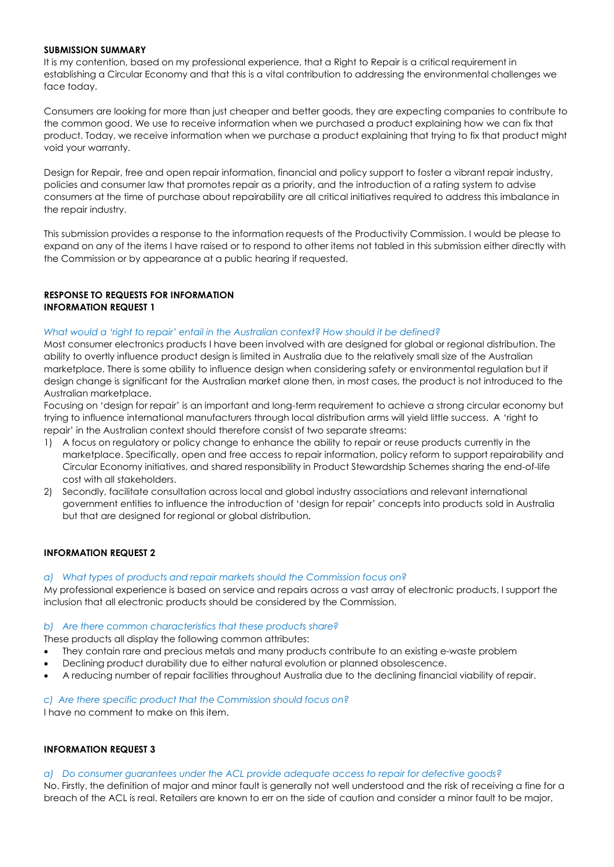### **SUBMISSION SUMMARY**

It is my contention, based on my professional experience, that a Right to Repair is a critical requirement in establishing a Circular Economy and that this is a vital contribution to addressing the environmental challenges we face today.

Consumers are looking for more than just cheaper and better goods, they are expecting companies to contribute to the common good. We use to receive information when we purchased a product explaining how we can fix that product. Today, we receive information when we purchase a product explaining that trying to fix that product might void your warranty.

Design for Repair, free and open repair information, financial and policy support to foster a vibrant repair industry, policies and consumer law that promotes repair as a priority, and the introduction of a rating system to advise consumers at the time of purchase about repairability are all critical initiatives required to address this imbalance in the repair industry.

This submission provides a response to the information requests of the Productivity Commission. I would be please to expand on any of the items I have raised or to respond to other items not tabled in this submission either directly with the Commission or by appearance at a public hearing if requested.

# **RESPONSE TO REQUESTS FOR INFORMATION INFORMATION REQUEST 1**

#### *What would a 'right to repair' entail in the Australian context? How should it be defined?*

Most consumer electronics products I have been involved with are designed for global or regional distribution. The ability to overtly influence product design is limited in Australia due to the relatively small size of the Australian marketplace. There is some ability to influence design when considering safety or environmental regulation but if design change is significant for the Australian market alone then, in most cases, the product is not introduced to the Australian marketplace.

Focusing on 'design for repair' is an important and long-term requirement to achieve a strong circular economy but trying to influence international manufacturers through local distribution arms will yield little success. A 'right to repair' in the Australian context should therefore consist of two separate streams:

- 1) A focus on regulatory or policy change to enhance the ability to repair or reuse products currently in the marketplace. Specifically, open and free access to repair information, policy reform to support repairability and Circular Economy initiatives, and shared responsibility in Product Stewardship Schemes sharing the end-of-life cost with all stakeholders.
- 2) Secondly, facilitate consultation across local and global industry associations and relevant international government entities to influence the introduction of 'design for repair' concepts into products sold in Australia but that are designed for regional or global distribution.

# **INFORMATION REQUEST 2**

#### *a) What types of products and repair markets should the Commission focus on?*

My professional experience is based on service and repairs across a vast array of electronic products, I support the inclusion that all electronic products should be considered by the Commission.

#### *b) Are there common characteristics that these products share?*

These products all display the following common attributes:

- They contain rare and precious metals and many products contribute to an existing e-waste problem
- Declining product durability due to either natural evolution or planned obsolescence.
- A reducing number of repair facilities throughout Australia due to the declining financial viability of repair.

# *c) Are there specific product that the Commission should focus on?*

I have no comment to make on this item.

# **INFORMATION REQUEST 3**

#### *a) Do consumer guarantees under the ACL provide adequate access to repair for defective goods?*

No. Firstly, the definition of major and minor fault is generally not well understood and the risk of receiving a fine for a breach of the ACL is real. Retailers are known to err on the side of caution and consider a minor fault to be major,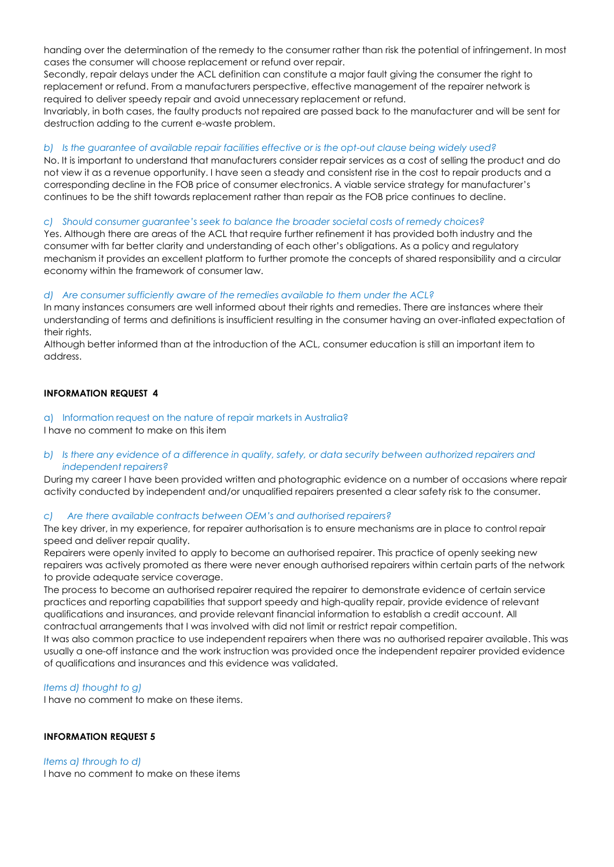handing over the determination of the remedy to the consumer rather than risk the potential of infringement. In most cases the consumer will choose replacement or refund over repair.

Secondly, repair delays under the ACL definition can constitute a major fault giving the consumer the right to replacement or refund. From a manufacturers perspective, effective management of the repairer network is required to deliver speedy repair and avoid unnecessary replacement or refund.

Invariably, in both cases, the faulty products not repaired are passed back to the manufacturer and will be sent for destruction adding to the current e-waste problem.

### *b) Is the guarantee of available repair facilities effective or is the opt-out clause being widely used?*

No. It is important to understand that manufacturers consider repair services as a cost of selling the product and do not view it as a revenue opportunity. I have seen a steady and consistent rise in the cost to repair products and a corresponding decline in the FOB price of consumer electronics. A viable service strategy for manufacturer's continues to be the shift towards replacement rather than repair as the FOB price continues to decline.

#### *c) Should consumer guarantee's seek to balance the broader societal costs of remedy choices?*

Yes. Although there are areas of the ACL that require further refinement it has provided both industry and the consumer with far better clarity and understanding of each other's obligations. As a policy and regulatory mechanism it provides an excellent platform to further promote the concepts of shared responsibility and a circular economy within the framework of consumer law.

# *d) Are consumer sufficiently aware of the remedies available to them under the ACL?*

In many instances consumers are well informed about their rights and remedies. There are instances where their understanding of terms and definitions is insufficient resulting in the consumer having an over-inflated expectation of their rights.

Although better informed than at the introduction of the ACL, consumer education is still an important item to address.

# **INFORMATION REQUEST 4**

# a) Information request on the nature of repair markets in Australia?

I have no comment to make on this item

*b) Is there any evidence of a difference in quality, safety, or data security between authorized repairers and independent repairers?*

During my career I have been provided written and photographic evidence on a number of occasions where repair activity conducted by independent and/or unqualified repairers presented a clear safety risk to the consumer.

#### *c) Are there available contracts between OEM's and authorised repairers?*

The key driver, in my experience, for repairer authorisation is to ensure mechanisms are in place to control repair speed and deliver repair quality.

Repairers were openly invited to apply to become an authorised repairer. This practice of openly seeking new repairers was actively promoted as there were never enough authorised repairers within certain parts of the network to provide adequate service coverage.

The process to become an authorised repairer required the repairer to demonstrate evidence of certain service practices and reporting capabilities that support speedy and high-quality repair, provide evidence of relevant qualifications and insurances, and provide relevant financial information to establish a credit account. All contractual arrangements that I was involved with did not limit or restrict repair competition.

It was also common practice to use independent repairers when there was no authorised repairer available. This was usually a one-off instance and the work instruction was provided once the independent repairer provided evidence of qualifications and insurances and this evidence was validated.

# *Items d) thought to g)*

I have no comment to make on these items.

# **INFORMATION REQUEST 5**

#### *Items a) through to d)*

I have no comment to make on these items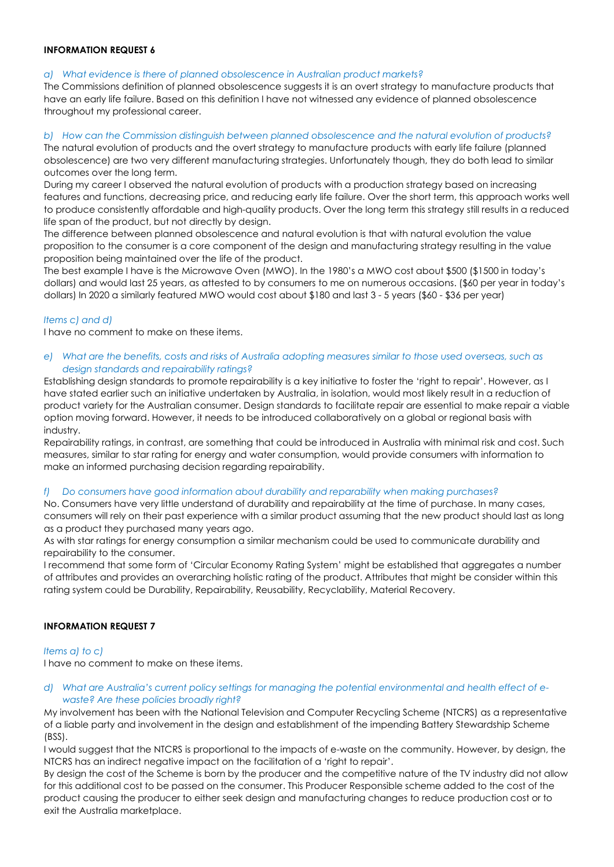# **INFORMATION REQUEST 6**

# *a) What evidence is there of planned obsolescence in Australian product markets?*

The Commissions definition of planned obsolescence suggests it is an overt strategy to manufacture products that have an early life failure. Based on this definition I have not witnessed any evidence of planned obsolescence throughout my professional career.

# *b) How can the Commission distinguish between planned obsolescence and the natural evolution of products?*

The natural evolution of products and the overt strategy to manufacture products with early life failure (planned obsolescence) are two very different manufacturing strategies. Unfortunately though, they do both lead to similar outcomes over the long term.

During my career I observed the natural evolution of products with a production strategy based on increasing features and functions, decreasing price, and reducing early life failure. Over the short term, this approach works well to produce consistently affordable and high-quality products. Over the long term this strategy still results in a reduced life span of the product, but not directly by design.

The difference between planned obsolescence and natural evolution is that with natural evolution the value proposition to the consumer is a core component of the design and manufacturing strategy resulting in the value proposition being maintained over the life of the product.

The best example I have is the Microwave Oven (MWO). In the 1980's a MWO cost about \$500 (\$1500 in today's dollars) and would last 25 years, as attested to by consumers to me on numerous occasions. (\$60 per year in today's dollars) In 2020 a similarly featured MWO would cost about \$180 and last 3 - 5 years (\$60 - \$36 per year)

# *Items c) and d)*

I have no comment to make on these items.

*e) What are the benefits, costs and risks of Australia adopting measures similar to those used overseas, such as design standards and repairability ratings?*

Establishing design standards to promote repairability is a key initiative to foster the 'right to repair'. However, as I have stated earlier such an initiative undertaken by Australia, in isolation, would most likely result in a reduction of product variety for the Australian consumer. Design standards to facilitate repair are essential to make repair a viable option moving forward. However, it needs to be introduced collaboratively on a global or regional basis with industry.

Repairability ratings, in contrast, are something that could be introduced in Australia with minimal risk and cost. Such measures, similar to star rating for energy and water consumption, would provide consumers with information to make an informed purchasing decision regarding repairability.

# *f) Do consumers have good information about durability and reparability when making purchases?*

No. Consumers have very little understand of durability and repairability at the time of purchase. In many cases, consumers will rely on their past experience with a similar product assuming that the new product should last as long as a product they purchased many years ago.

As with star ratings for energy consumption a similar mechanism could be used to communicate durability and repairability to the consumer.

I recommend that some form of 'Circular Economy Rating System' might be established that aggregates a number of attributes and provides an overarching holistic rating of the product. Attributes that might be consider within this rating system could be Durability, Repairability, Reusability, Recyclability, Material Recovery.

# **INFORMATION REQUEST 7**

# *Items a) to c)*

I have no comment to make on these items.

# *d) What are Australia's current policy settings for managing the potential environmental and health effect of ewaste? Are these policies broadly right?*

My involvement has been with the National Television and Computer Recycling Scheme (NTCRS) as a representative of a liable party and involvement in the design and establishment of the impending Battery Stewardship Scheme (BSS).

I would suggest that the NTCRS is proportional to the impacts of e-waste on the community. However, by design, the NTCRS has an indirect negative impact on the facilitation of a 'right to repair'.

By design the cost of the Scheme is born by the producer and the competitive nature of the TV industry did not allow for this additional cost to be passed on the consumer. This Producer Responsible scheme added to the cost of the product causing the producer to either seek design and manufacturing changes to reduce production cost or to exit the Australia marketplace.